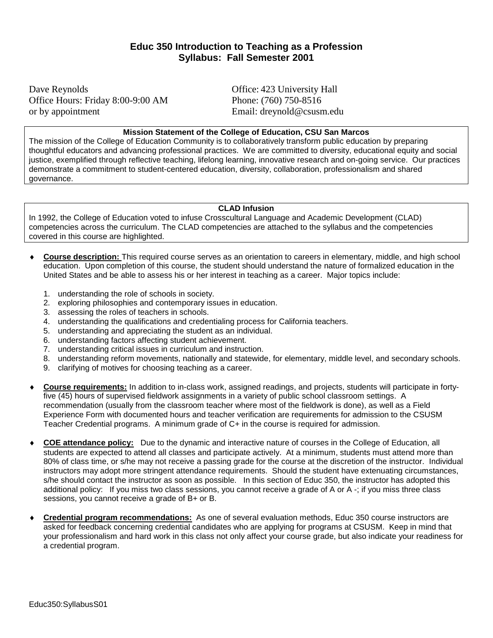## **Educ 350 Introduction to Teaching as a Profession Syllabus: Fall Semester 2001**

Dave Reynolds Office: 423 University Hall Office Hours: Friday 8:00-9:00 AM Phone: (760) 750-8516 or by appointment Email: dreynold@csusm.edu

#### **Mission Statement of the College of Education, CSU San Marcos**

The mission of the College of Education Community is to collaboratively transform public education by preparing thoughtful educators and advancing professional practices. We are committed to diversity, educational equity and social justice, exemplified through reflective teaching, lifelong learning, innovative research and on-going service. Our practices demonstrate a commitment to student-centered education, diversity, collaboration, professionalism and shared governance.

### **CLAD Infusion**

In 1992, the College of Education voted to infuse Crosscultural Language and Academic Development (CLAD) competencies across the curriculum. The CLAD competencies are attached to the syllabus and the competencies covered in this course are highlighted.

- **Course description:** This required course serves as an orientation to careers in elementary, middle, and high school education. Upon completion of this course, the student should understand the nature of formalized education in the United States and be able to assess his or her interest in teaching as a career. Major topics include:
	- 1. understanding the role of schools in society.
	- 2. exploring philosophies and contemporary issues in education.
	- 3. assessing the roles of teachers in schools.
	- 4. understanding the qualifications and credentialing process for California teachers.
	- 5. understanding and appreciating the student as an individual.
	- 6. understanding factors affecting student achievement.
	- 7. understanding critical issues in curriculum and instruction.
	- 8. understanding reform movements, nationally and statewide, for elementary, middle level, and secondary schools.
	- 9. clarifying of motives for choosing teaching as a career.
- ♦ **Course requirements:** In addition to in-class work, assigned readings, and projects, students will participate in fortyfive (45) hours of supervised fieldwork assignments in a variety of public school classroom settings. A recommendation (usually from the classroom teacher where most of the fieldwork is done), as well as a Field Experience Form with documented hours and teacher verification are requirements for admission to the CSUSM Teacher Credential programs. A minimum grade of C+ in the course is required for admission.
- **COE attendance policy:** Due to the dynamic and interactive nature of courses in the College of Education, all students are expected to attend all classes and participate actively. At a minimum, students must attend more than 80% of class time, or s/he may not receive a passing grade for the course at the discretion of the instructor. Individual instructors may adopt more stringent attendance requirements. Should the student have extenuating circumstances, s/he should contact the instructor as soon as possible. In this section of Educ 350, the instructor has adopted this additional policy: If you miss two class sessions, you cannot receive a grade of A or A -; if you miss three class sessions, you cannot receive a grade of B+ or B.
- ♦ **Credential program recommendations:** As one of several evaluation methods, Educ 350 course instructors are asked for feedback concerning credential candidates who are applying for programs at CSUSM. Keep in mind that your professionalism and hard work in this class not only affect your course grade, but also indicate your readiness for a credential program.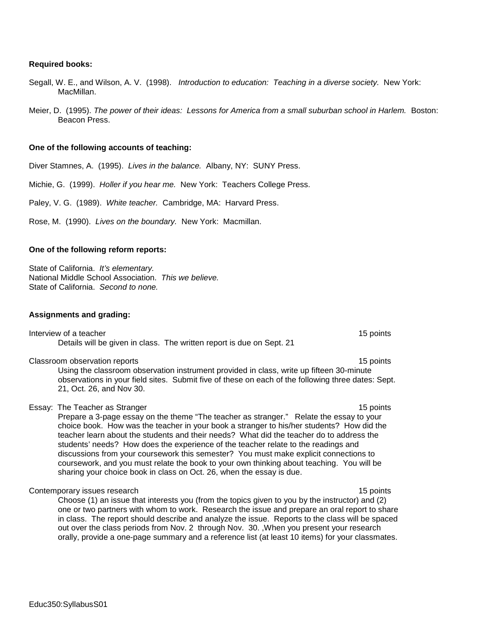Educ350:SyllabusS01

#### **Required books:**

- Segall, W. E., and Wilson, A. V. (1998). *Introduction to education: Teaching in a diverse society.* New York: MacMillan.
- Meier, D. (1995). *The power of their ideas: Lessons for America from a small suburban school in Harlem.* Boston: Beacon Press.

#### **One of the following accounts of teaching:**

Diver Stamnes, A. (1995). *Lives in the balance.* Albany, NY: SUNY Press.

Michie, G. (1999). *Holler if you hear me.* New York: Teachers College Press.

Paley, V. G. (1989). *White teacher.* Cambridge, MA: Harvard Press.

Rose, M. (1990). *Lives on the boundary.* New York: Macmillan.

#### **One of the following reform reports:**

State of California. *It's elementary.* National Middle School Association. *This we believe.* State of California. *Second to none.*

#### **Assignments and grading:**

Interview of a teacher 15 points and the set of the set of the set of the set of the set of the set of the set of the set of the set of the set of the set of the set of the set of the set of the set of the set of the set o Details will be given in class. The written report is due on Sept. 21

Classroom observation reports 15 points 15 points 15 points 15 points 15 points 15 points 15 points 15 points 15 points 15 points 15 points 15 points 15 points 15 points 15 points 15 points 15 points 15 points 15 points 15

Using the classroom observation instrument provided in class, write up fifteen 30-minute observations in your field sites. Submit five of these on each of the following three dates: Sept. 21, Oct. 26, and Nov 30.

#### Essay: The Teacher as Stranger 15 points 15 points 15 points 15 points 15 points 15 points 15 points 15 points

Prepare a 3-page essay on the theme "The teacher as stranger." Relate the essay to your choice book. How was the teacher in your book a stranger to his/her students? How did the teacher learn about the students and their needs? What did the teacher do to address the students' needs? How does the experience of the teacher relate to the readings and discussions from your coursework this semester? You must make explicit connections to coursework, and you must relate the book to your own thinking about teaching. You will be sharing your choice book in class on Oct. 26, when the essay is due.

Contemporary issues research 15 points and the contemporary issues research 15 points and 15 points of the contemporary issues research 15 points and 15 points of the contemporary issues research 15 points and 15 points of

Choose (1) an issue that interests you (from the topics given to you by the instructor) and (2) one or two partners with whom to work. Research the issue and prepare an oral report to share in class. The report should describe and analyze the issue. Reports to the class will be spaced out over the class periods from Nov. 2 through Nov. 30. ,When you present your research orally, provide a one-page summary and a reference list (at least 10 items) for your classmates.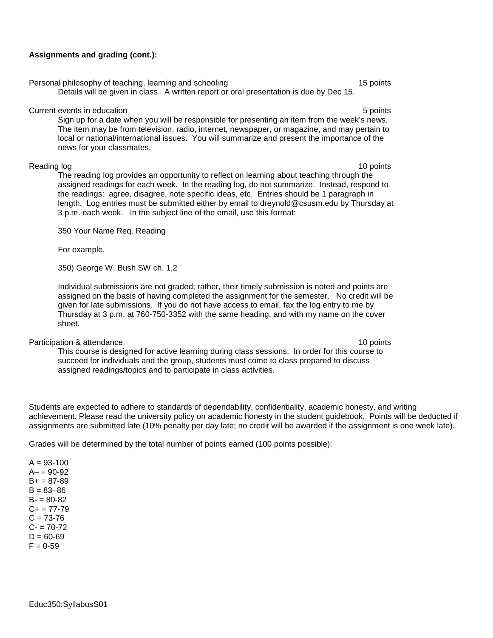#### **Assignments and grading (cont.):**

Personal philosophy of teaching, learning and schooling 15 points 15 points Details will be given in class. A written report or oral presentation is due by Dec 15.

#### Current events in education **5 points** 5 points **5** points **5** points **5** points **5** points **5** points **5** points **5 10**

Sign up for a date when you will be responsible for presenting an item from the week's news. The item may be from television, radio, internet, newspaper, or magazine, and may pertain to local or national/international issues. You will summarize and present the importance of the news for your classmates.

Reading log 10 points The reading log provides an opportunity to reflect on learning about teaching through the assigned readings for each week. In the reading log, do not summarize. Instead, respond to the readings: agree, disagree, note specific ideas, etc. Entries should be 1 paragraph in length. Log entries must be submitted either by email to dreynold@csusm.edu by Thursday at 3 p.m. each week. In the subject line of the email, use this format:

350 Your Name Req. Reading

For example,

350) George W. Bush SW ch. 1,2

Individual submissions are not graded; rather, their timely submission is noted and points are assigned on the basis of having completed the assignment for the semester. No credit will be given for late submissions. If you do not have access to email, fax the log entry to me by Thursday at 3 p.m. at 760-750-3352 with the same heading, and with my name on the cover sheet.

Participation & attendance 10 points and the set of the set of the set of the set of the set of the set of the set of the set of the set of the set of the set of the set of the set of the set of the set of the set of the s

This course is designed for active learning during class sessions. In order for this course to succeed for individuals and the group, students must come to class prepared to discuss assigned readings/topics and to participate in class activities.

Students are expected to adhere to standards of dependability, confidentiality, academic honesty, and writing achievement. Please read the university policy on academic honesty in the student guidebook. Points will be deducted if assignments are submitted late (10% penalty per day late; no credit will be awarded if the assignment is one week late).

Grades will be determined by the total number of points earned (100 points possible):

 $A = 93 - 100$  $A - 90 - 92$  $B_{+} = 87 - 89$  $B = 83 - 86$  $B - 80 - 82$  $C_{+}$  = 77-79  $C = 73 - 76$  $C - 70-72$  $D = 60 - 69$  $F = 0.59$